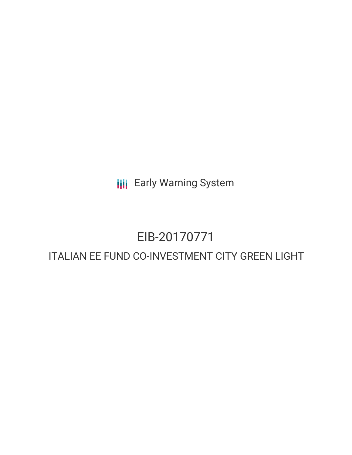**III** Early Warning System

## EIB-20170771

## ITALIAN EE FUND CO-INVESTMENT CITY GREEN LIGHT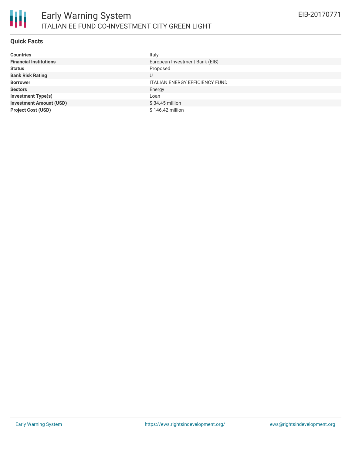

### **Quick Facts**

| <b>Countries</b>               | Italy                                 |
|--------------------------------|---------------------------------------|
| <b>Financial Institutions</b>  | European Investment Bank (EIB)        |
| <b>Status</b>                  | Proposed                              |
| <b>Bank Risk Rating</b>        | U                                     |
| <b>Borrower</b>                | <b>ITALIAN ENERGY EFFICIENCY FUND</b> |
| <b>Sectors</b>                 | Energy                                |
| <b>Investment Type(s)</b>      | Loan                                  |
| <b>Investment Amount (USD)</b> | $$34.45$ million                      |
| <b>Project Cost (USD)</b>      | \$146.42 million                      |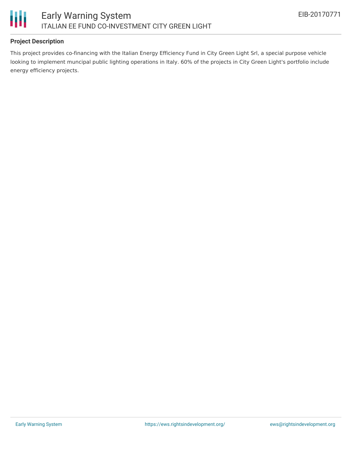

### **Project Description**

This project provides co-financing with the Italian Energy Efficiency Fund in City Green Light Srl, a special purpose vehicle looking to implement muncipal public lighting operations in Italy. 60% of the projects in City Green Light's portfolio include energy efficiency projects.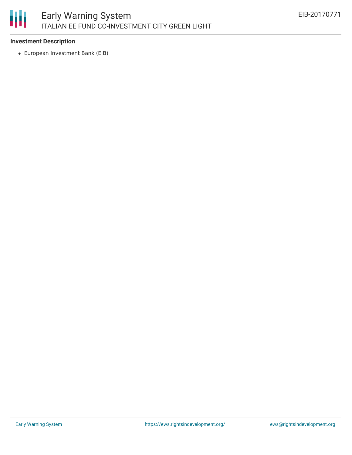### 朋 Early Warning System ITALIAN EE FUND CO-INVESTMENT CITY GREEN LIGHT

### **Investment Description**

European Investment Bank (EIB)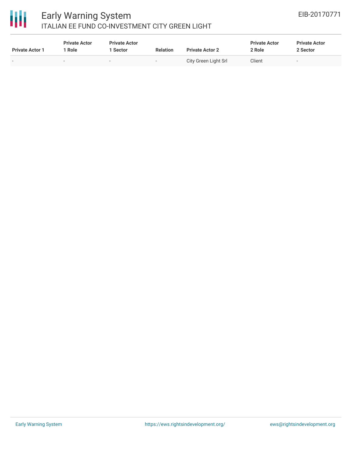# 冊

### Early Warning System ITALIAN EE FUND CO-INVESTMENT CITY GREEN LIGHT

| <b>Private Actor 1</b>   | <b>Private Actor</b><br>Role | <b>Private Actor</b><br>Sector | <b>Relation</b>          | <b>Private Actor 2</b> | <b>Private Actor</b><br>2 Role | <b>Private Actor</b><br>2 Sector |
|--------------------------|------------------------------|--------------------------------|--------------------------|------------------------|--------------------------------|----------------------------------|
| $\overline{\phantom{0}}$ |                              | $\overline{\phantom{0}}$       | $\overline{\phantom{a}}$ | City Green Light Srl   | Client                         |                                  |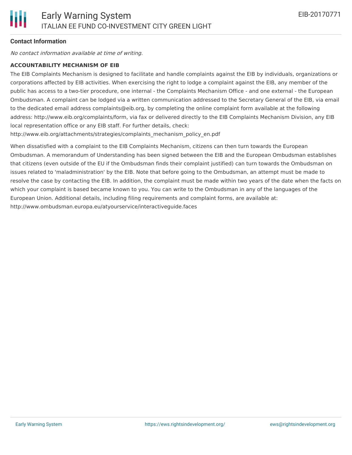### **Contact Information**

No contact information available at time of writing.

#### **ACCOUNTABILITY MECHANISM OF EIB**

The EIB Complaints Mechanism is designed to facilitate and handle complaints against the EIB by individuals, organizations or corporations affected by EIB activities. When exercising the right to lodge a complaint against the EIB, any member of the public has access to a two-tier procedure, one internal - the Complaints Mechanism Office - and one external - the European Ombudsman. A complaint can be lodged via a written communication addressed to the Secretary General of the EIB, via email to the dedicated email address complaints@eib.org, by completing the online complaint form available at the following address: http://www.eib.org/complaints/form, via fax or delivered directly to the EIB Complaints Mechanism Division, any EIB local representation office or any EIB staff. For further details, check:

http://www.eib.org/attachments/strategies/complaints\_mechanism\_policy\_en.pdf

When dissatisfied with a complaint to the EIB Complaints Mechanism, citizens can then turn towards the European Ombudsman. A memorandum of Understanding has been signed between the EIB and the European Ombudsman establishes that citizens (even outside of the EU if the Ombudsman finds their complaint justified) can turn towards the Ombudsman on issues related to 'maladministration' by the EIB. Note that before going to the Ombudsman, an attempt must be made to resolve the case by contacting the EIB. In addition, the complaint must be made within two years of the date when the facts on which your complaint is based became known to you. You can write to the Ombudsman in any of the languages of the European Union. Additional details, including filing requirements and complaint forms, are available at: http://www.ombudsman.europa.eu/atyourservice/interactiveguide.faces